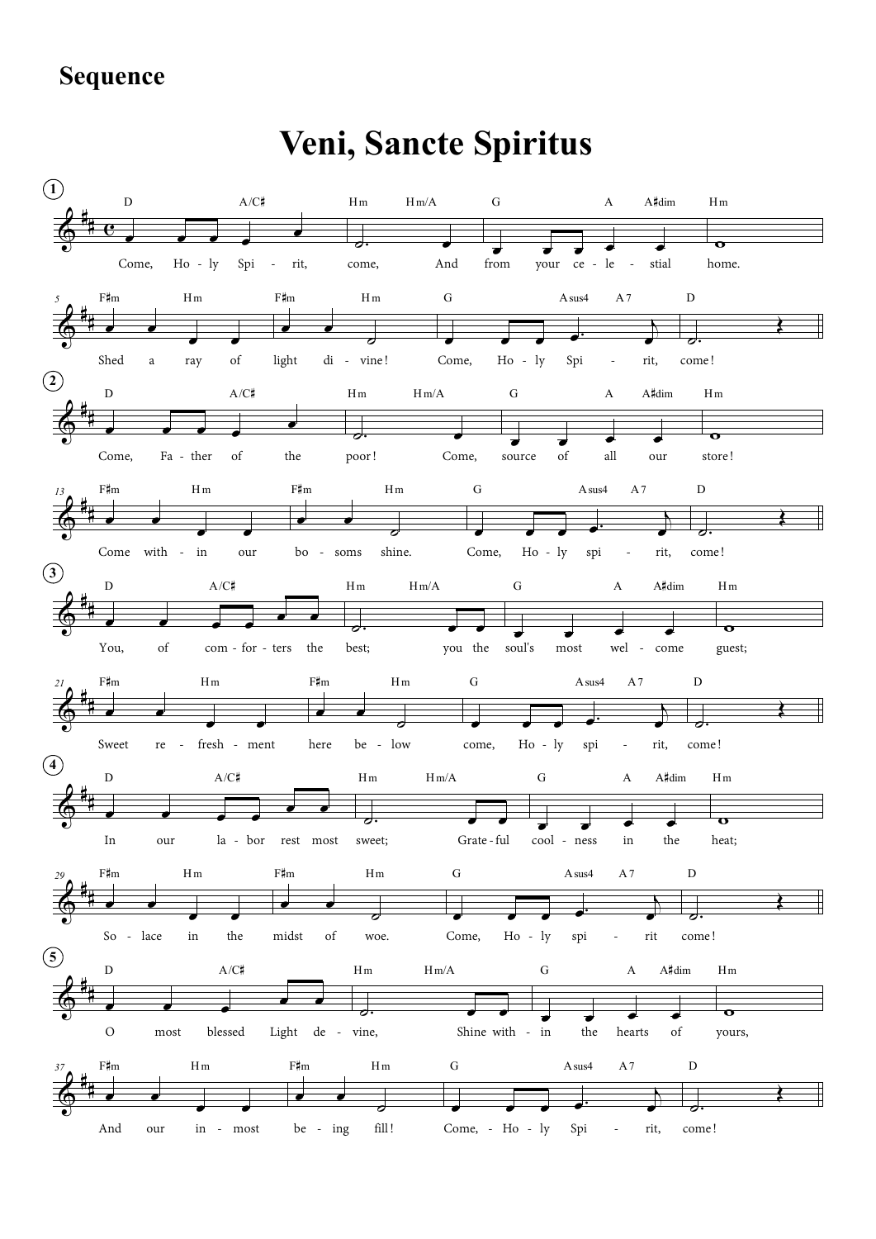## **Sequence**

## Veni, Sancte Spiritus